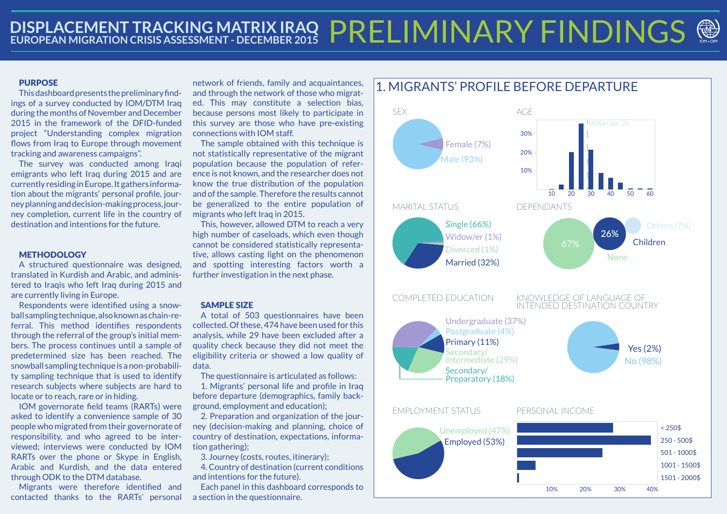# **DISPLACEMENT TRACKING MATRIX IRAQ PRELIMINARY FINDINGS**

## **PURPOSE**

This dashboard presents the preliminary findings of a survey conducted by IOM/DTM Iraq during the months of November and December 2015 in the framework of the DFID-funded project "Understanding complex migration flows from Iraq to Europe through movement tracking and awareness campaigns".

The survey was conducted among Iraqi emigrants who left Iraq during 2015 and are currently residing in Europe. It gathers information about the migrants' personal profile, journey planning and decision-making process, journey completion, current life in the country of destination and intentions for the future.

# METHODOLOGY

A structured questionnaire was designed, translated in Kurdish and Arabic, and administered to Iraqis who left Iraq during 2015 and are currently living in Europe.

Respondents were identified using a snowball sampling technique, also known as chain-referral. This method identifies respondents through the referral of the group's initial members. The process continues until a sample of predetermined size has been reached. The snowball sampling technique is a non-probability sampling technique that is used to identify research subjects where subjects are hard to locate or to reach, rare or in hiding.

The sample obtained with this technique is not statistically representative of the migrant population because the population of reference is not known, and the researcher does not know the true distribution of the population and of the sample. Therefore the results cannot be generalized to the entire population of migrants who left Iraq in 2015.

IOM governorate field teams (RARTs) were asked to identify a convenience sample of 30 people who migrated from their governorate of responsibility, and who agreed to be interviewed; interviews were conducted by IOM RARTs over the phone or Skype in English, Arabic and Kurdish, and the data entered through ODK to the DTM database.

Migrants were therefore identified and contacted thanks to the RARTs' personal

network of friends, family and acquaintances, and through the network of those who migrated. This may constitute a selection bias, because persons most likely to participate in this survey are those who have pre-existing connections with IOM staff.

This, however, allowed DTM to reach a very high number of caseloads, which even though cannot be considered statistically representative, allows casting light on the phenomenon and spotting interesting factors worth a further investigation in the next phase.

#### SAMPLE SIZE

A total of 503 questionnaires have been collected. Of these, 474 have been used for this analysis, while 29 have been excluded after a quality check because they did not meet the eligibility criteria or showed a low quality of data.

The questionnaire is articulated as follows:

1. Migrants' personal life and profile in Iraq before departure (demographics, family background, employment and education);

2. Preparation and organization of the journey (decision-making and planning, choice of country of destination, expectations, information gathering);

3. Journey (costs, routes, itinerary);

4. Country of destination (current conditions and intentions for the future).

Each panel in this dashboard corresponds to a section in the questionnaire.